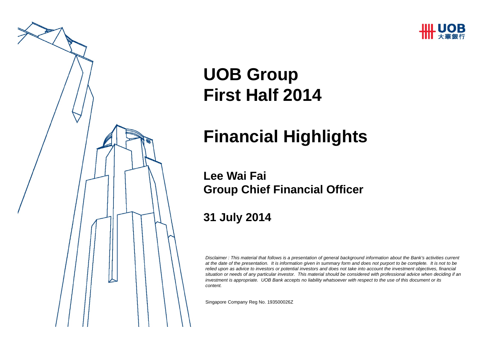



# **UOB Group First Half 2014**

# **Financial Highlights**

#### **Lee Wai FaiGroup Chief Financial Officer**

#### **31 July 2014**

*Disclaimer : This material that follows is a presentation of general background information about the Bank's activities current at the date of the presentation. It is information given in summary form and does not purport to be complete. It is not to be relied upon as advice to investors or potential investors and does not take into account the investment objectives, financial situation or needs of any particular investor. This material should be considered with professional advice when deciding if an investment is appropriate. UOB Bank accepts no liability whatsoever with respect to the use of this document or its content.*

Singapore Company Reg No. 193500026 Z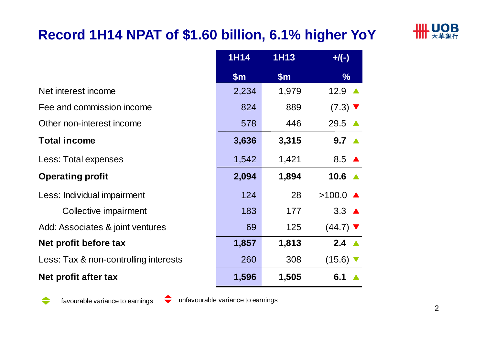# **Record 1H14 NPAT of \$1.60 billion, 6.1% higher YoY**



|                                       | <b>1H14</b> | <b>1H13</b> | $+$ /(-)                      |
|---------------------------------------|-------------|-------------|-------------------------------|
|                                       | \$m\$       | \$m\$       | $\frac{0}{6}$                 |
| Net interest income                   | 2,234       | 1,979       | 12.9                          |
| Fee and commission income             | 824         | 889         | $(7.3)$ $\blacktriangledown$  |
| Other non-interest income             | 578         | 446         | 29.5                          |
| <b>Total income</b>                   | 3,636       | 3,315       | $9.7 \triangle$               |
| Less: Total expenses                  | 1,542       | 1,421       | 8.5 $\triangle$               |
| <b>Operating profit</b>               | 2,094       | 1,894       | 10.6                          |
| Less: Individual impairment           | 124         | 28          | $>100.0$ $\triangle$          |
| Collective impairment                 | 183         | 177         | $3.3 \triangle$               |
| Add: Associates & joint ventures      | 69          | 125         | $(44.7)$ $\blacktriangledown$ |
| Net profit before tax                 | 1,857       | 1,813       | $2.4 \triangle$               |
| Less: Tax & non-controlling interests | 260         | 308         | $(15.6)$ $\blacktriangledown$ |
| Net profit after tax                  | 1,596       | 1,505       | 6.1                           |

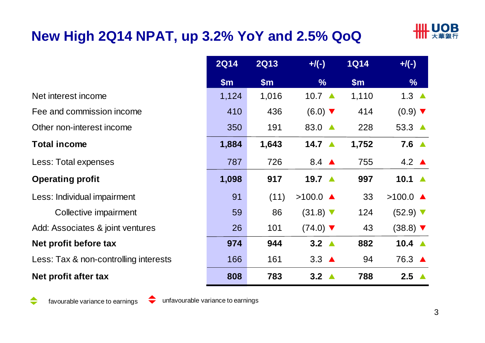# **New High 2Q14 NPAT, up 3.2% YoY and 2.5% QoQ**



|                                       | <b>2Q14</b> | <b>2Q13</b> | $+/(-)$                       | <b>1Q14</b>   | $+/(-)$                       |
|---------------------------------------|-------------|-------------|-------------------------------|---------------|-------------------------------|
|                                       | \$m\$       | \$m\$       | $\%$                          | $\mathsf{Sm}$ | $\frac{9}{6}$                 |
| Net interest income                   | 1,124       | 1,016       | 10.7 $\triangle$              | 1,110         | 1.3 $\triangle$               |
| Fee and commission income             | 410         | 436         | $(6.0)$ $\blacktriangledown$  | 414           | $(0.9)$ $\blacktriangledown$  |
| Other non-interest income             | 350         | 191         | 83.0 ▲                        | 228           | $53.3 \triangle$              |
| <b>Total income</b>                   | 1,884       | 1,643       | 14.7 $\triangle$              | 1,752         | $7.6 \triangle$               |
| Less: Total expenses                  | 787         | 726         | 8.4 $\triangle$               | 755           | $4.2 \triangle$               |
| <b>Operating profit</b>               | 1,098       | 917         | 19.7 $\triangle$              | 997           | 10.1 $\triangle$              |
| Less: Individual impairment           | 91          | (11)        | $>100.0$ $\triangle$          | 33            | $>100.0$ $\triangle$          |
| Collective impairment                 | 59          | 86          | $(31.8)$ $\blacktriangledown$ | 124           | $(52.9)$ $\blacktriangledown$ |
| Add: Associates & joint ventures      | 26          | 101         | $(74.0)$ $\blacktriangledown$ | 43            | $(38.8)$ $\blacktriangledown$ |
| Net profit before tax                 | 974         | 944         | $3.2 \triangle$               | 882           | 10.4 $\triangle$              |
| Less: Tax & non-controlling interests | 166         | 161         | $3.3 \triangle$               | 94            | 76.3 ▲                        |
| Net profit after tax                  | 808         | 783         | $3.2 \triangle$               | 788           | $2.5 \triangle$               |

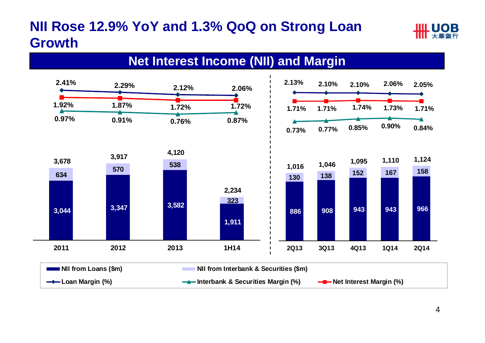# **NII Rose 12.9% YoY and 1.3% QoQ on Strong Loan Growth**



#### **Net Interest Income (NII) and Margin**

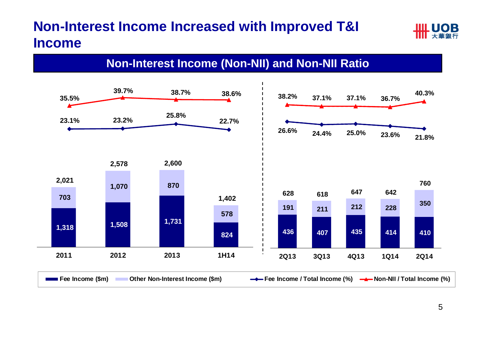# **Non-Interest Income Increased with Improved T&I Income**



#### **Non-Interest Income (Non-NII) and Non-NII Ratio**

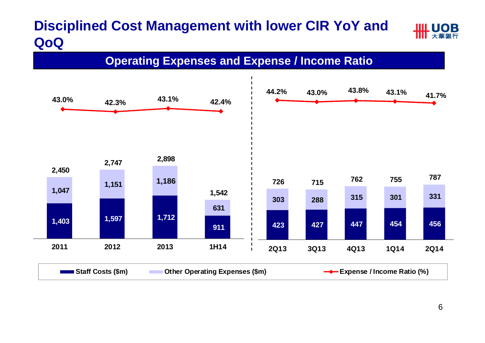# **Disciplined Cost Management with lower CIR YoY and QoQ**



#### **Operating Expenses and Expense / Income Ratio**

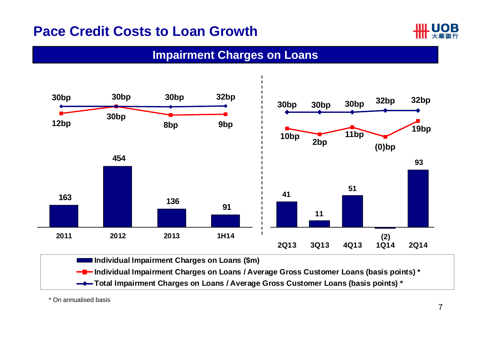#### **Pace Credit Costs to Loan Growth**



#### **Impairment Charges on Loans**



\* On annualised basis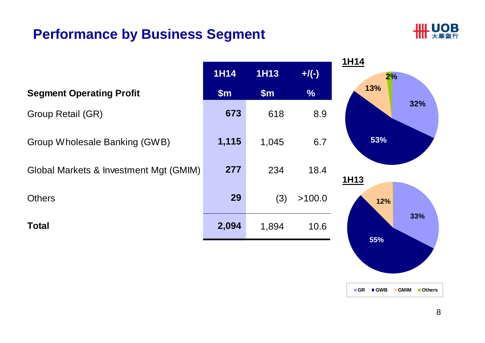### **Performance by Business Segment**



|                                        |             |             |               | <b>1H14</b> |
|----------------------------------------|-------------|-------------|---------------|-------------|
|                                        | <b>1H14</b> | <b>1H13</b> | $+$ /(-)      | 2%          |
| <b>Segment Operating Profit</b>        | \$m\$       | \$m\$       | $\frac{1}{2}$ | 13%         |
| Group Retail (GR)                      | 673         | 618         | 8.9           | 32%         |
| Group Wholesale Banking (GWB)          | 1,115       | 1,045       | 6.7           | 53%         |
| Global Markets & Investment Mgt (GMIM) | 277         | 234         | 18.4          | 1H13        |
| <b>Others</b>                          | 29          | (3)         | >100.0        | 12%         |
| <b>Total</b>                           | 2,094       | 1,894       | 10.6          | 33%         |
|                                        |             |             |               | 55%         |

**GR GWB GMIM Others**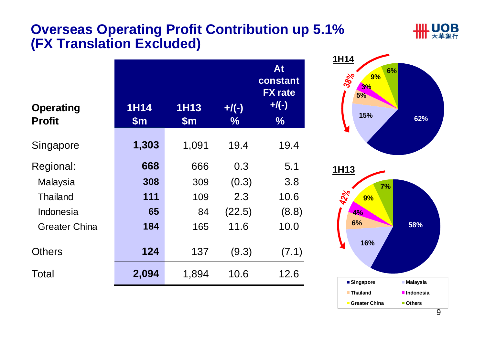#### **Overseas Operating Profit Contribution up 5.1% (FX Translation Excluded)**



| <b>Operating</b><br><b>Profit</b> | <b>1H14</b><br>$\mathsf{Sm}$ | <b>1H13</b><br>$\mathsf{Sm}$ | $+$ /(-)<br>$\%$ | At<br>constant<br><b>FX</b> rate<br>$+$ /(-)<br>$\frac{0}{0}$ |
|-----------------------------------|------------------------------|------------------------------|------------------|---------------------------------------------------------------|
| Singapore                         | 1,303                        | 1,091                        | 19.4             | 19.4                                                          |
| Regional:                         | 668                          | 666                          | 0.3              | 5.1                                                           |
| Malaysia                          | 308                          | 309                          | (0.3)            | 3.8                                                           |
| <b>Thailand</b>                   | 111                          | 109                          | 2.3              | 10.6                                                          |
| Indonesia                         | 65                           | 84                           | (22.5)           | (8.8)                                                         |
| <b>Greater China</b>              | 184                          | 165                          | 11.6             | 10.0                                                          |
| Others                            | 124                          | 137                          | (9.3)            | (7.1)                                                         |
| Total                             | 2,094                        | 1,894                        | 10.6             | 12.6                                                          |

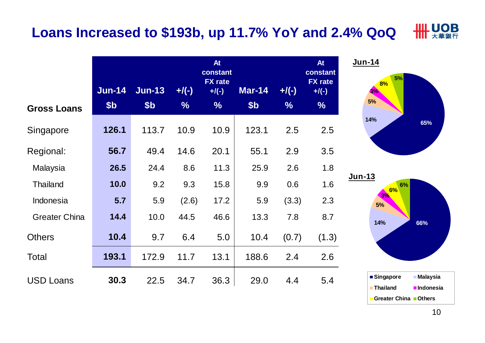#### **HILL UOB Loans Increased to \$193b, up 11.7% YoY and 2.4% QoQ**

|                      | Jun-14          | <b>Jun-13</b>   | $+$ /(-)      | At<br>constant<br><b>FX</b> rate<br>$+$ /(-) | <b>Mar-14</b>   | $+$ /(-)      | At<br>constant<br><b>FX</b> rate<br>$+$ /(-) |
|----------------------|-----------------|-----------------|---------------|----------------------------------------------|-----------------|---------------|----------------------------------------------|
| <b>Gross Loans</b>   | \$ <sub>b</sub> | \$ <sub>b</sub> | $\frac{0}{6}$ | $\frac{9}{6}$                                | \$ <sub>b</sub> | $\frac{0}{6}$ | $\frac{0}{6}$                                |
| Singapore            | 126.1           | 113.7           | 10.9          | 10.9                                         | 123.1           | 2.5           | 2.5                                          |
| Regional:            | 56.7            | 49.4            | 14.6          | 20.1                                         | 55.1            | 2.9           | 3.5                                          |
| Malaysia             | 26.5            | 24.4            | 8.6           | 11.3                                         | 25.9            | 2.6           | 1.8                                          |
| <b>Thailand</b>      | 10.0            | 9.2             | 9.3           | 15.8                                         | 9.9             | 0.6           | 1.6                                          |
| Indonesia            | 5.7             | 5.9             | (2.6)         | 17.2                                         | 5.9             | (3.3)         | 2.3                                          |
| <b>Greater China</b> | 14.4            | 10.0            | 44.5          | 46.6                                         | 13.3            | 7.8           | 8.7                                          |
| <b>Others</b>        | 10.4            | 9.7             | 6.4           | 5.0                                          | 10.4            | (0.7)         | (1.3)                                        |
| <b>Total</b>         | 193.1           | 172.9           | 11.7          | 13.1                                         | 188.6           | 2.4           | 2.6                                          |
| <b>USD Loans</b>     | 30.3            | 22.5            | 34.7          | 36.3                                         | 29.0            | 4.4           | 5.4                                          |



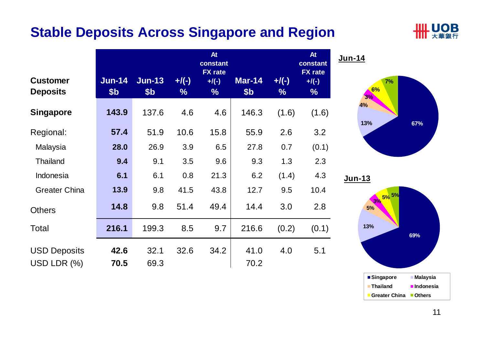### **Stable Deposits Across Singapore and Region**



| <b>Customer</b><br><b>Deposits</b> | $Jun-14$<br>\$ <sub>b</sub> | $Jun-13$<br>\$ <sub>b</sub> | $+$ /(-)<br>$\%$ | At<br>constant<br><b>FX</b> rate<br>$+$ /(-)<br>$\%$ | Mar-14<br>\$ <sub>b</sub> | $+$ /(-)<br>$\frac{9}{6}$ | <b>At</b><br>constant<br><b>FX</b> rate<br>$+$ /(-)<br>$\%$ | Jun-14         |
|------------------------------------|-----------------------------|-----------------------------|------------------|------------------------------------------------------|---------------------------|---------------------------|-------------------------------------------------------------|----------------|
| <b>Singapore</b>                   | 143.9                       | 137.6                       | 4.6              | 4.6                                                  | 146.3                     | (1.6)                     | (1.6)                                                       | 4 <sup>°</sup> |
| Regional:                          | 57.4                        | 51.9                        | 10.6             | 15.8                                                 | 55.9                      | 2.6                       | 3.2                                                         | $\ddagger$     |
| Malaysia                           | 28.0                        | 26.9                        | 3.9              | 6.5                                                  | 27.8                      | 0.7                       | (0.1)                                                       |                |
| <b>Thailand</b>                    | 9.4                         | 9.1                         | 3.5              | 9.6                                                  | 9.3                       | 1.3                       | 2.3                                                         |                |
| Indonesia                          | 6.1                         | 6.1                         | 0.8              | 21.3                                                 | 6.2                       | (1.4)                     | 4.3                                                         | Jun-1          |
| <b>Greater China</b>               | 13.9                        | 9.8                         | 41.5             | 43.8                                                 | 12.7                      | 9.5                       | 10.4                                                        |                |
| <b>Others</b>                      | 14.8                        | 9.8                         | 51.4             | 49.4                                                 | 14.4                      | 3.0                       | 2.8                                                         |                |
| Total                              | 216.1                       | 199.3                       | 8.5              | 9.7                                                  | 216.6                     | (0.2)                     | (0.1)                                                       |                |
| <b>USD Deposits</b>                | 42.6                        | 32.1                        | 32.6             | 34.2                                                 | 41.0                      | 4.0                       | 5.1                                                         |                |
| USD LDR $(\%)$                     | 70.5                        | 69.3                        |                  |                                                      | 70.2                      |                           |                                                             |                |



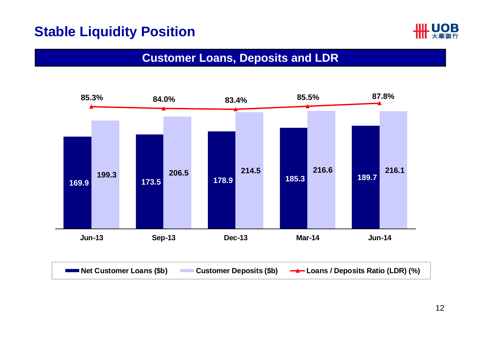### **Stable Liquidity Position**



#### **Customer Loans, Deposits and LDR**

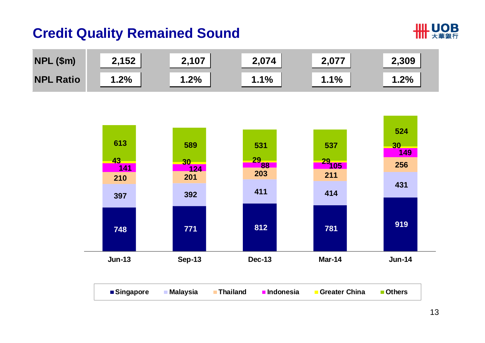### **Credit Quality Remained Sound**



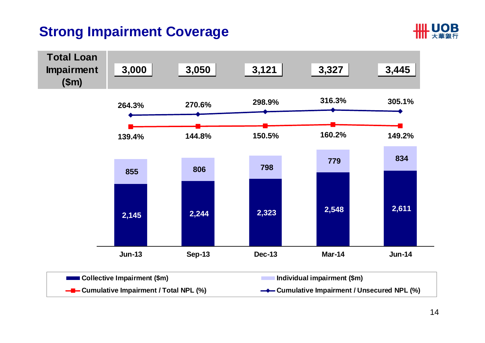# **Strong Impairment Coverage**



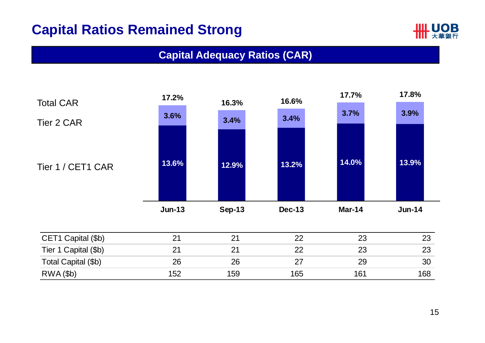### **Capital Ratios Remained Strong**



#### **Capital Adequacy Ratios (CAR)**

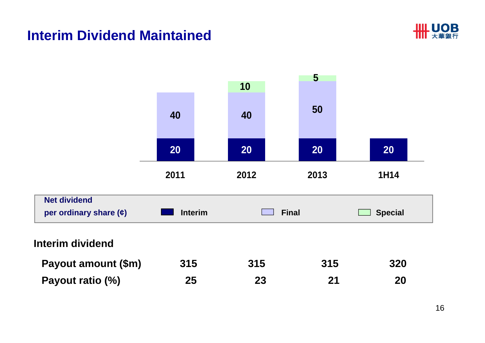#### **Interim Dividend Maintained**



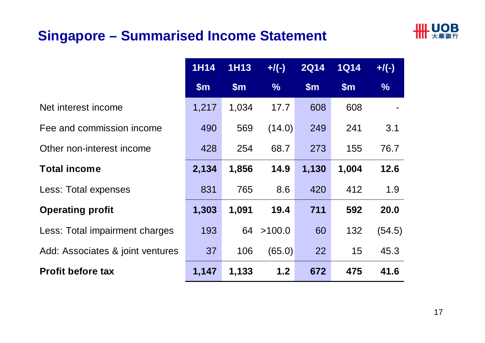### **Singapore – Summarised Income Statement**



|                                  | <b>1H14</b>   | <b>1H13</b> | $+/(-)$       | <b>2Q14</b>   | <b>1Q14</b>   | $+$ /(-)      |
|----------------------------------|---------------|-------------|---------------|---------------|---------------|---------------|
|                                  | $\mathsf{Sm}$ | \$m\$       | $\frac{9}{6}$ | $\mathsf{Sm}$ | $\mathsf{Sm}$ | $\frac{9}{6}$ |
| Net interest income              | 1,217         | 1,034       | 17.7          | 608           | 608           |               |
| Fee and commission income        | 490           | 569         | (14.0)        | 249           | 241           | 3.1           |
| Other non-interest income        | 428           | 254         | 68.7          | 273           | 155           | 76.7          |
| <b>Total income</b>              | 2,134         | 1,856       | 14.9          | 1,130         | 1,004         | 12.6          |
| Less: Total expenses             | 831           | 765         | 8.6           | 420           | 412           | 1.9           |
| <b>Operating profit</b>          | 1,303         | 1,091       | 19.4          | 711           | 592           | 20.0          |
| Less: Total impairment charges   | 193           | 64          | >100.0        | 60            | 132           | (54.5)        |
| Add: Associates & joint ventures | 37            | 106         | (65.0)        | 22            | 15            | 45.3          |
| <b>Profit before tax</b>         | 1,147         | 1,133       | 1.2           | 672           | 475           | 41.6          |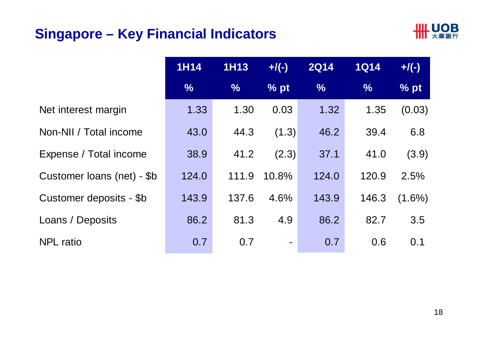### **Singapore – Key Financial Indicators**



|                            | <b>1H14</b>   | <b>1H13</b>   | $+/(-)$        | <b>2Q14</b>   | <b>1Q14</b>   | $+$ /(-)  |
|----------------------------|---------------|---------------|----------------|---------------|---------------|-----------|
|                            | $\frac{0}{6}$ | $\frac{0}{0}$ | $\%$ pt        | $\frac{9}{6}$ | $\frac{9}{6}$ | % pt      |
| Net interest margin        | 1.33          | 1.30          | 0.03           | 1.32          | 1.35          | (0.03)    |
| Non-NII / Total income     | 43.0          | 44.3          | (1.3)          | 46.2          | 39.4          | 6.8       |
| Expense / Total income     | 38.9          | 41.2          | (2.3)          | 37.1          | 41.0          | (3.9)     |
| Customer loans (net) - \$b | 124.0         | 111.9         | 10.8%          | 124.0         | 120.9         | 2.5%      |
| Customer deposits - \$b    | 143.9         | 137.6         | 4.6%           | 143.9         | 146.3         | $(1.6\%)$ |
| Loans / Deposits           | 86.2          | 81.3          | 4.9            | 86.2          | 82.7          | 3.5       |
| <b>NPL</b> ratio           | 0.7           | 0.7           | $\blacksquare$ | 0.7           | 0.6           | 0.1       |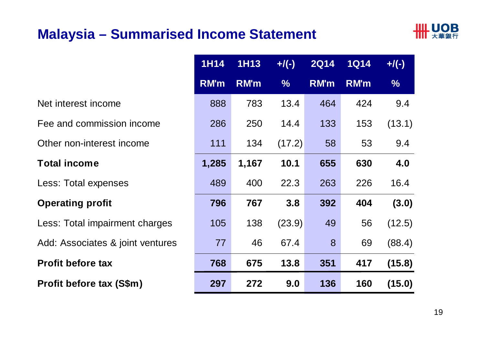#### **Malaysia – Summarised Income Statement**



|                                  | <b>1H14</b> | <b>1H13</b> | $+/(-)$       | <b>2Q14</b> | <b>1Q14</b> | $+$ /(-)      |
|----------------------------------|-------------|-------------|---------------|-------------|-------------|---------------|
|                                  | $R$ M'm     | <b>RM'm</b> | $\frac{9}{6}$ | <b>RM'm</b> | <b>RM'm</b> | $\frac{9}{6}$ |
| Net interest income              | 888         | 783         | 13.4          | 464         | 424         | 9.4           |
| Fee and commission income        | 286         | 250         | 14.4          | 133         | 153         | (13.1)        |
| Other non-interest income        | 111         | 134         | (17.2)        | 58          | 53          | 9.4           |
| <b>Total income</b>              | 1,285       | 1,167       | 10.1          | 655         | 630         | 4.0           |
| Less: Total expenses             | 489         | 400         | 22.3          | 263         | 226         | 16.4          |
| <b>Operating profit</b>          | 796         | 767         | 3.8           | 392         | 404         | (3.0)         |
| Less: Total impairment charges   | 105         | 138         | (23.9)        | 49          | 56          | (12.5)        |
| Add: Associates & joint ventures | 77          | 46          | 67.4          | 8           | 69          | (88.4)        |
| <b>Profit before tax</b>         | 768         | 675         | 13.8          | 351         | 417         | (15.8)        |
| Profit before tax (S\$m)         | 297         | 272         | 9.0           | 136         | 160         | (15.0)        |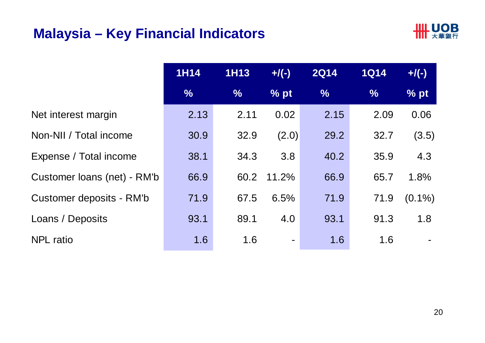### **Malaysia – Key Financial Indicators**



|                             | <b>1H14</b> | <b>1H13</b>   | $+$ /(-)       | <b>2Q14</b> | <b>1Q14</b>   | $+$ /(-)  |
|-----------------------------|-------------|---------------|----------------|-------------|---------------|-----------|
|                             | $\%$        | $\frac{9}{6}$ | % pt           | $\%$        | $\frac{9}{6}$ | % pt      |
| Net interest margin         | 2.13        | 2.11          | 0.02           | 2.15        | 2.09          | 0.06      |
| Non-NII / Total income      | 30.9        | 32.9          | (2.0)          | 29.2        | 32.7          | (3.5)     |
| Expense / Total income      | 38.1        | 34.3          | 3.8            | 40.2        | 35.9          | 4.3       |
| Customer Ioans (net) - RM'b | 66.9        | 60.2          | 11.2%          | 66.9        | 65.7          | 1.8%      |
| Customer deposits - RM'b    | 71.9        | 67.5          | 6.5%           | 71.9        | 71.9          | $(0.1\%)$ |
| Loans / Deposits            | 93.1        | 89.1          | 4.0            | 93.1        | 91.3          | 1.8       |
| <b>NPL</b> ratio            | 1.6         | 1.6           | $\blacksquare$ | 1.6         | 1.6           |           |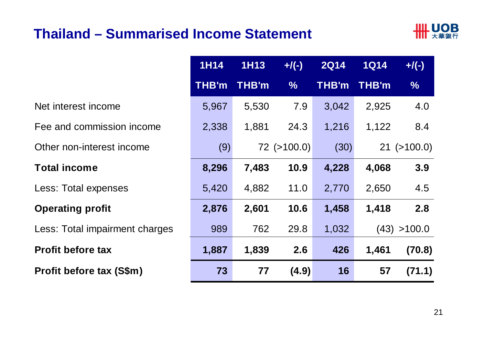#### **Thailand – Summarised Income Statement**



| <b>1H14</b> | <b>1H13</b> | $+$ /(-)          | <b>2Q14</b> | <b>1Q14</b> | $+$ /(-)          |
|-------------|-------------|-------------------|-------------|-------------|-------------------|
| THB'm       | THB'm       | $\frac{0}{0}$     | THB'm       | THB'm       | $\frac{1}{2}$     |
| 5,967       | 5,530       | 7.9               | 3,042       | 2,925       | 4.0               |
| 2,338       | 1,881       | 24.3              | 1,216       | 1,122       | 8.4               |
| (9)         |             | $72$ ( $>100.0$ ) | (30)        |             | $21$ ( $>100.0$ ) |
| 8,296       | 7,483       | 10.9              | 4,228       | 4,068       | 3.9               |
| 5,420       | 4,882       | 11.0              | 2,770       | 2,650       | 4.5               |
| 2,876       | 2,601       | 10.6              | 1,458       | 1,418       | 2.8               |
| 989         | 762         | 29.8              | 1,032       |             | (43) > 100.0      |
| 1,887       | 1,839       | 2.6               | 426         | 1,461       | (70.8)            |
| 73          | 77          | (4.9)             | 16          | 57          | (71.1)            |

Net interest income

Fee and commission income

Other non-interest income

#### **Total income**

Less: Total expenses

#### **Operating profit**

Less: Total impairment charges

#### **Profit before tax**

**Profit before tax (S\$m) 73 77 (4.9) 16 57 (71.1)**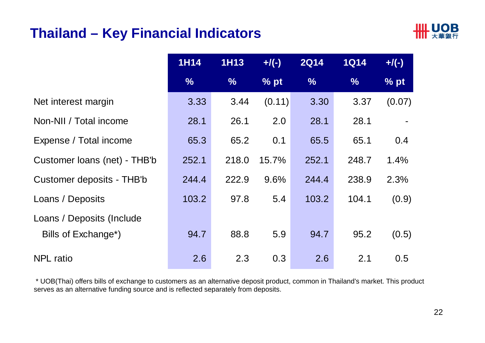#### **Thailand – Key Financial Indicators**



|                              | <b>1H14</b>   | <b>1H13</b>   | $+/(-)$ | <b>2Q14</b>   | <b>1Q14</b> | $+$ /(-) |
|------------------------------|---------------|---------------|---------|---------------|-------------|----------|
|                              | $\frac{9}{6}$ | $\frac{9}{6}$ | % pt    | $\frac{9}{6}$ | %           | % pt     |
| Net interest margin          | 3.33          | 3.44          | (0.11)  | 3.30          | 3.37        | (0.07)   |
| Non-NII / Total income       | 28.1          | 26.1          | 2.0     | 28.1          | 28.1        |          |
| Expense / Total income       | 65.3          | 65.2          | 0.1     | 65.5          | 65.1        | 0.4      |
| Customer loans (net) - THB'b | 252.1         | 218.0         | 15.7%   | 252.1         | 248.7       | 1.4%     |
| Customer deposits - THB'b    | 244.4         | 222.9         | 9.6%    | 244.4         | 238.9       | 2.3%     |
| Loans / Deposits             | 103.2         | 97.8          | 5.4     | 103.2         | 104.1       | (0.9)    |
| Loans / Deposits (Include    |               |               |         |               |             |          |
| Bills of Exchange*)          | 94.7          | 88.8          | 5.9     | 94.7          | 95.2        | (0.5)    |
| <b>NPL</b> ratio             | 2.6           | 2.3           | 0.3     | 2.6           | 2.1         | 0.5      |

\* UOB(Thai) offers bills of exchange to customers as an alternative deposit product, common in Thailand's market. This product serves as an alternative funding source and is reflected separately from deposits.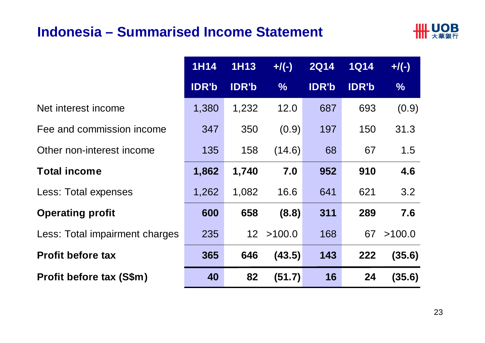#### **Indonesia – Summarised Income Statement**



|                                | <b>1H14</b>  | <b>1H13</b>     | $+/(-)$       | <b>2Q14</b>  | <b>1Q14</b>  | $+$ /(-)      |
|--------------------------------|--------------|-----------------|---------------|--------------|--------------|---------------|
|                                | <b>IDR'b</b> | <b>IDR'b</b>    | $\frac{9}{6}$ | <b>IDR'b</b> | <b>IDR'b</b> | $\frac{9}{6}$ |
| Net interest income            | 1,380        | 1,232           | 12.0          | 687          | 693          | (0.9)         |
| Fee and commission income      | 347          | 350             | (0.9)         | 197          | 150          | 31.3          |
| Other non-interest income      | 135          | 158             | (14.6)        | 68           | 67           | 1.5           |
| <b>Total income</b>            | 1,862        | 1,740           | 7.0           | 952          | 910          | 4.6           |
| Less: Total expenses           | 1,262        | 1,082           | 16.6          | 641          | 621          | 3.2           |
| <b>Operating profit</b>        | 600          | 658             | (8.8)         | 311          | 289          | 7.6           |
| Less: Total impairment charges | 235          | 12 <sup>1</sup> | >100.0        | 168          | 67           | >100.0        |
| <b>Profit before tax</b>       | 365          | 646             | (43.5)        | 143          | 222          | (35.6)        |
| Profit before tax (S\$m)       | 40           | 82              | (51.7)        | 16           | 24           | (35.6)        |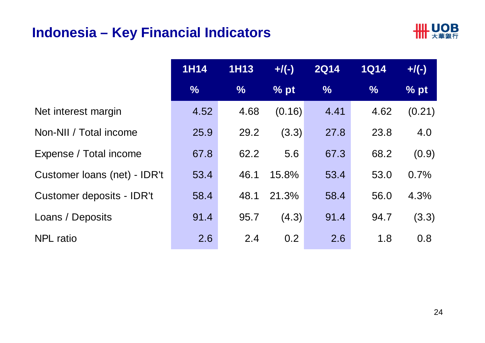#### **Indonesia – Key Financial Indicators**



|                              | <b>1H14</b>   | <b>1H13</b>   | $+$ /(-) | <b>2Q14</b>   | <b>1Q14</b>   | $+$ /(-) |
|------------------------------|---------------|---------------|----------|---------------|---------------|----------|
|                              | $\frac{0}{0}$ | $\frac{9}{6}$ | $%$ pt   | $\frac{9}{6}$ | $\frac{9}{6}$ | % pt     |
| Net interest margin          | 4.52          | 4.68          | (0.16)   | 4.41          | 4.62          | (0.21)   |
| Non-NII / Total income       | 25.9          | 29.2          | (3.3)    | 27.8          | 23.8          | 4.0      |
| Expense / Total income       | 67.8          | 62.2          | 5.6      | 67.3          | 68.2          | (0.9)    |
| Customer loans (net) - IDR't | 53.4          | 46.1          | 15.8%    | 53.4          | 53.0          | 0.7%     |
| Customer deposits - IDR't    | 58.4          | 48.1          | 21.3%    | 58.4          | 56.0          | 4.3%     |
| Loans / Deposits             | 91.4          | 95.7          | (4.3)    | 91.4          | 94.7          | (3.3)    |
| <b>NPL</b> ratio             | 2.6           | 2.4           | 0.2      | 2.6           | 1.8           | 0.8      |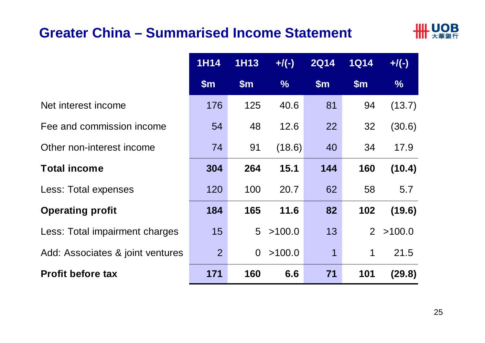#### **Greater China – Summarised Income Statement**



|                                  | <b>1H14</b>    | <b>1H13</b>    | $+/(-)$       | <b>2Q14</b>   | <b>1Q14</b>    | $+$ /(-)      |
|----------------------------------|----------------|----------------|---------------|---------------|----------------|---------------|
|                                  | $\mathsf{Sm}$  | \$m\$          | $\frac{9}{6}$ | $\mathsf{Sm}$ | \$m\$          | $\frac{9}{6}$ |
| Net interest income              | 176            | 125            | 40.6          | 81            | 94             | (13.7)        |
| Fee and commission income        | 54             | 48             | 12.6          | 22            | 32             | (30.6)        |
| Other non-interest income        | 74             | 91             | (18.6)        | 40            | 34             | 17.9          |
| <b>Total income</b>              | 304            | 264            | 15.1          | 144           | 160            | (10.4)        |
| Less: Total expenses             | 120            | 100            | 20.7          | 62            | 58             | 5.7           |
| <b>Operating profit</b>          | 184            | 165            | 11.6          | 82            | 102            | (19.6)        |
| Less: Total impairment charges   | 15             | 5 <sup>5</sup> | >100.0        | 13            | $\overline{2}$ | >100.0        |
| Add: Associates & joint ventures | 2 <sup>2</sup> | $\overline{0}$ | >100.0        | 1             | $\mathbf 1$    | 21.5          |
| <b>Profit before tax</b>         | 171            | 160            | 6.6           | 71            | 101            | (29.8)        |